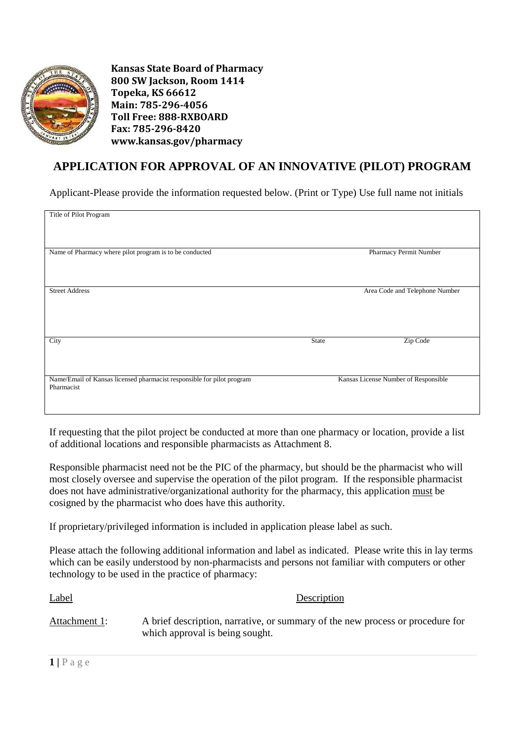

**Kansas State Board of Pharmacy 800 SW Jackson, Room 1414 Topeka, KS 66612 Main: 785-296-4056 Toll Free: 888-RXBOARD Fax: 785-296-8420 www.kansas.gov/pharmacy** 

## **APPLICATION FOR APPROVAL OF AN INNOVATIVE (PILOT) PROGRAM**

Applicant-Please provide the information requested below. (Print or Type) Use full name not initials

| Title of Pilot Program                                                 |                                      |                                |
|------------------------------------------------------------------------|--------------------------------------|--------------------------------|
|                                                                        |                                      |                                |
|                                                                        |                                      |                                |
|                                                                        |                                      |                                |
|                                                                        |                                      |                                |
|                                                                        |                                      |                                |
|                                                                        |                                      |                                |
| Name of Pharmacy where pilot program is to be conducted                |                                      | Pharmacy Permit Number         |
|                                                                        |                                      |                                |
|                                                                        |                                      |                                |
|                                                                        |                                      |                                |
|                                                                        |                                      |                                |
|                                                                        |                                      |                                |
|                                                                        |                                      |                                |
| <b>Street Address</b>                                                  |                                      | Area Code and Telephone Number |
|                                                                        |                                      |                                |
|                                                                        |                                      |                                |
|                                                                        |                                      |                                |
|                                                                        |                                      |                                |
|                                                                        |                                      |                                |
|                                                                        |                                      |                                |
|                                                                        |                                      |                                |
|                                                                        |                                      |                                |
|                                                                        |                                      |                                |
| City                                                                   | <b>State</b>                         | Zip Code                       |
|                                                                        |                                      |                                |
|                                                                        |                                      |                                |
|                                                                        |                                      |                                |
|                                                                        |                                      |                                |
|                                                                        |                                      |                                |
|                                                                        |                                      |                                |
| Name/Email of Kansas licensed pharmacist responsible for pilot program |                                      |                                |
|                                                                        | Kansas License Number of Responsible |                                |
| Pharmacist                                                             |                                      |                                |
|                                                                        |                                      |                                |
|                                                                        |                                      |                                |
|                                                                        |                                      |                                |
|                                                                        |                                      |                                |

If requesting that the pilot project be conducted at more than one pharmacy or location, provide a list of additional locations and responsible pharmacists as Attachment 8.

Responsible pharmacist need not be the PIC of the pharmacy, but should be the pharmacist who will most closely oversee and supervise the operation of the pilot program. If the responsible pharmacist does not have administrative/organizational authority for the pharmacy, this application must be cosigned by the pharmacist who does have this authority.

If proprietary/privileged information is included in application please label as such.

Please attach the following additional information and label as indicated. Please write this in lay terms which can be easily understood by non-pharmacists and persons not familiar with computers or other technology to be used in the practice of pharmacy:

| <b>Label</b>  | Description                                                                                                       |
|---------------|-------------------------------------------------------------------------------------------------------------------|
| Attachment 1: | A brief description, narrative, or summary of the new process or procedure for<br>which approval is being sought. |